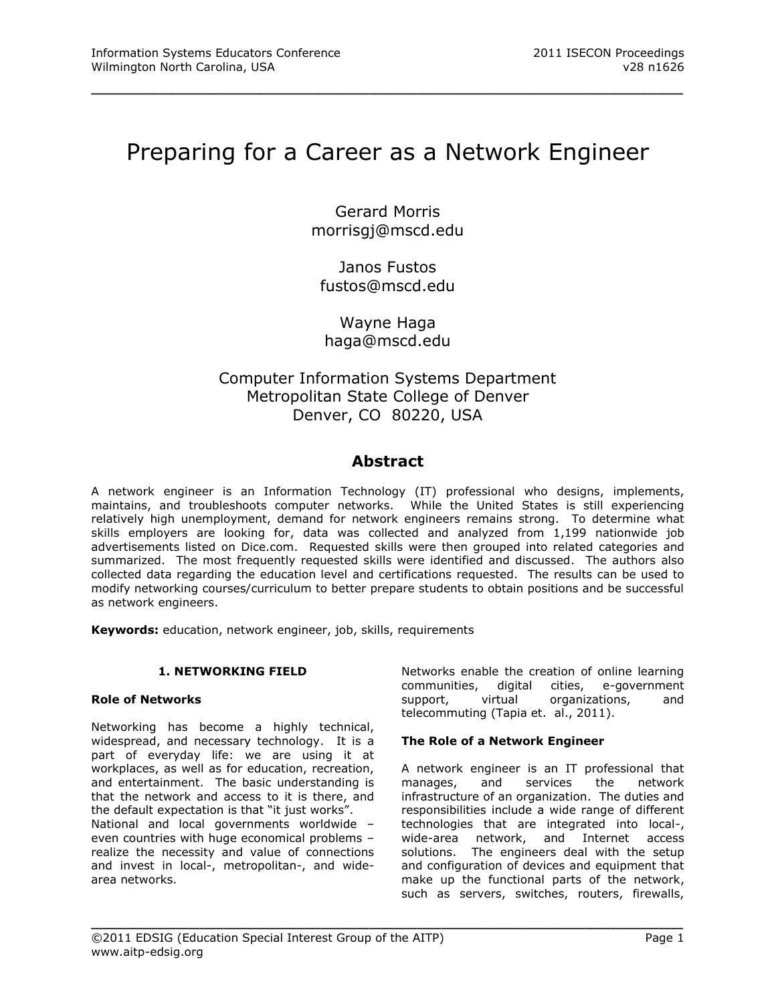# Preparing for a Career as a Network Engineer

\_\_\_\_\_\_\_\_\_\_\_\_\_\_\_\_\_\_\_\_\_\_\_\_\_\_\_\_\_\_\_\_\_\_\_\_\_\_\_\_\_\_\_\_\_\_\_\_\_

Gerard Morris [morrisgj@mscd.edu](mailto:morrisgj@mscd.edu)

Janos Fustos [fustos@mscd.edu](mailto:morrisgj@mscd.edu)

Wayne Haga [haga@mscd.edu](mailto:morrisgj@mscd.edu)

# Computer Information Systems Department Metropolitan State College of Denver Denver, CO 80220, USA

# **Abstract**

A network engineer is an Information Technology (IT) professional who designs, implements, maintains, and troubleshoots computer networks. While the United States is still experiencing relatively high unemployment, demand for network engineers remains strong. To determine what skills employers are looking for, data was collected and analyzed from 1,199 nationwide job advertisements listed on Dice.com. Requested skills were then grouped into related categories and summarized. The most frequently requested skills were identified and discussed. The authors also collected data regarding the education level and certifications requested. The results can be used to modify networking courses/curriculum to better prepare students to obtain positions and be successful as network engineers.

\_\_\_\_\_\_\_\_\_\_\_\_\_\_\_\_\_\_\_\_\_\_\_\_\_\_\_\_\_\_\_\_\_\_\_\_\_\_\_\_\_\_\_\_\_\_\_\_\_

**Keywords:** education, network engineer, job, skills, requirements

#### **1. NETWORKING FIELD**

#### **Role of Networks**

Networking has become a highly technical, widespread, and necessary technology. It is a part of everyday life: we are using it at workplaces, as well as for education, recreation, and entertainment. The basic understanding is that the network and access to it is there, and the default expectation is that "it just works". National and local governments worldwide – even countries with huge economical problems – realize the necessity and value of connections and invest in local-, metropolitan-, and widearea networks.

Networks enable the creation of online learning communities, digital cities, e-government support, virtual organizations, and telecommuting (Tapia et. al., 2011).

#### **The Role of a Network Engineer**

A network engineer is an IT professional that manages, and services the network infrastructure of an organization. The duties and responsibilities include a wide range of different technologies that are integrated into local-, wide-area network, and Internet access solutions. The engineers deal with the setup and configuration of devices and equipment that make up the functional parts of the network, such as servers, switches, routers, firewalls,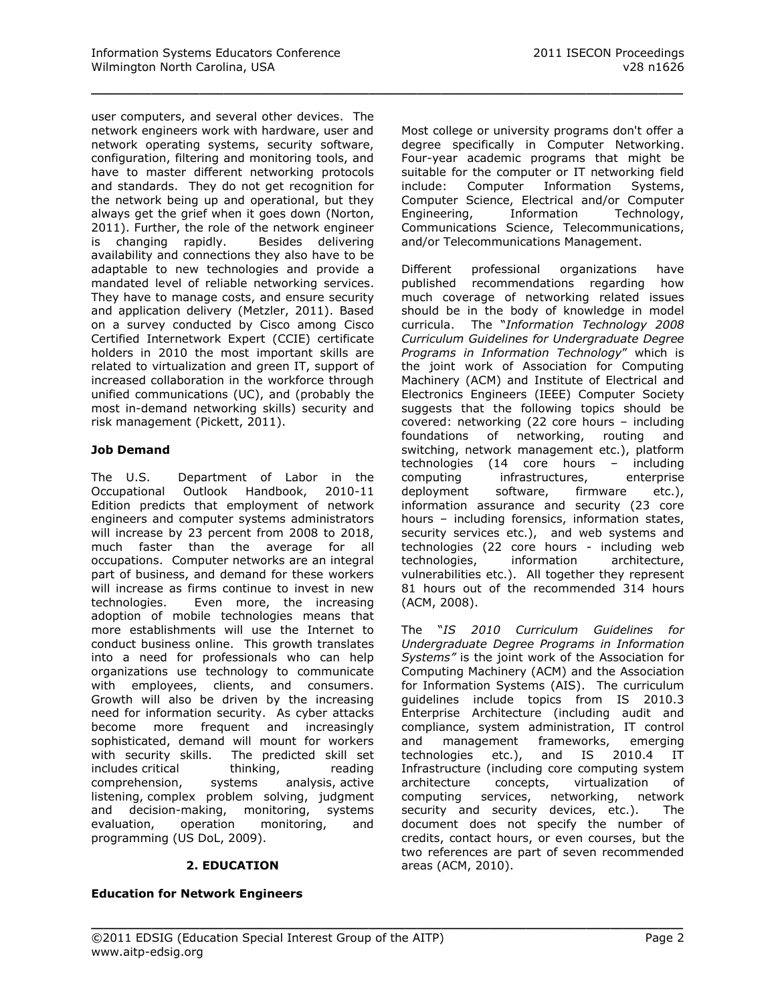\_\_\_\_\_\_\_\_\_\_\_\_\_\_\_\_\_\_\_\_\_\_\_\_\_\_\_\_\_\_\_\_\_\_\_\_\_\_\_\_\_\_\_\_\_\_\_\_\_

user computers, and several other devices. The network engineers work with hardware, user and network operating systems, security software, configuration, filtering and monitoring tools, and have to master different networking protocols and standards. They do not get recognition for the network being up and operational, but they always get the grief when it goes down (Norton, 2011). Further, the role of the network engineer is changing rapidly. Besides delivering availability and connections they also have to be adaptable to new technologies and provide a mandated level of reliable networking services. They have to manage costs, and ensure security and application delivery (Metzler, 2011). Based on a survey conducted by Cisco among Cisco Certified Internetwork Expert (CCIE) certificate holders in 2010 the most important skills are related to virtualization and green IT, support of increased collaboration in the workforce through unified communications (UC), and (probably the most in-demand networking skills) security and risk management (Pickett, 2011).

## **Job Demand**

The U.S. Department of Labor in the Occupational Outlook Handbook, 2010-11 Edition predicts that employment of network engineers and computer systems administrators will increase by 23 percent from 2008 to 2018, much faster than the average for all occupations. Computer networks are an integral part of business, and demand for these workers will increase as firms continue to invest in new technologies. Even more, the increasing adoption of mobile technologies means that more establishments will use the Internet to conduct business online. This growth translates into a need for professionals who can help organizations use technology to communicate with employees, clients, and consumers. Growth will also be driven by the increasing need for information security. As cyber attacks become more frequent and increasingly sophisticated, demand will mount for workers with security skills. The predicted skill set includes critical thinking, reading comprehension, systems analysis, active listening, complex problem solving, judgment and decision-making, monitoring, systems evaluation, operation monitoring, and programming (US DoL, 2009).

#### **2. EDUCATION**

#### **Education for Network Engineers**

Most college or university programs don't offer a degree specifically in Computer Networking. Four-year academic programs that might be suitable for the computer or IT networking field include: Computer Information Systems, Computer Science, Electrical and/or Computer Engineering, Information Technology, Communications Science, Telecommunications, and/or Telecommunications Management.

Different professional organizations have published recommendations regarding how much coverage of networking related issues should be in the body of knowledge in model curricula. The "*Information Technology 2008 Curriculum Guidelines for Undergraduate Degree Programs in Information Technology*" which is the joint work of Association for Computing Machinery (ACM) and Institute of Electrical and Electronics Engineers (IEEE) Computer Society suggests that the following topics should be covered: networking (22 core hours – including foundations of networking, routing and switching, network management etc.), platform technologies (14 core hours – including computing infrastructures, enterprise deployment software, firmware etc.), information assurance and security (23 core hours – including forensics, information states, security services etc.), and web systems and technologies (22 core hours - including web<br>technologies, information architecture, technologies, information architecture, vulnerabilities etc.). All together they represent 81 hours out of the recommended 314 hours (ACM, 2008).

The "*IS 2010 Curriculum Guidelines for Undergraduate Degree Programs in Information Systems"* is the joint work of the Association for Computing Machinery (ACM) and the Association for Information Systems (AIS). The curriculum guidelines include topics from IS 2010.3 Enterprise Architecture (including audit and compliance, system administration, IT control and management frameworks, emerging<br>technologies etc.), and IS 2010.4 IT technologies etc.), and IS 2010.4 IT Infrastructure (including core computing system architecture concepts, virtualization of computing services, networking, network security and security devices, etc.). The document does not specify the number of credits, contact hours, or even courses, but the two references are part of seven recommended areas (ACM, 2010).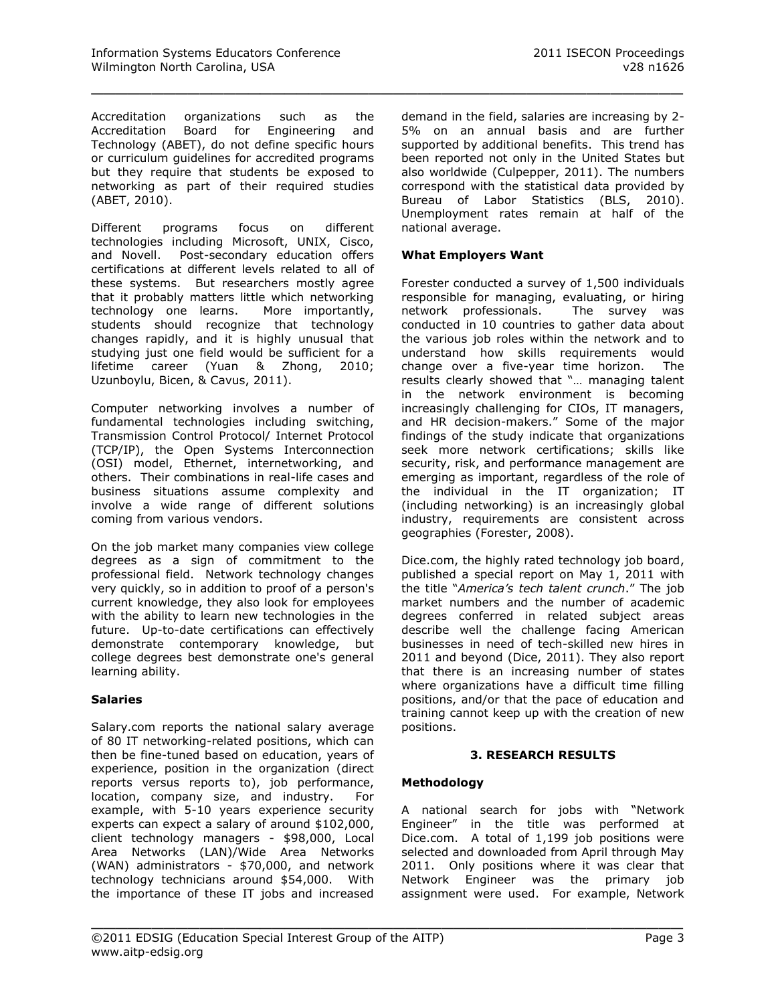Accreditation organizations such as the Accreditation Board for Engineering and Technology (ABET), do not define specific hours or curriculum guidelines for accredited programs but they require that students be exposed to networking as part of their required studies (ABET, 2010).

Different programs focus on different technologies including Microsoft, UNIX, Cisco, and Novell. Post-secondary education offers certifications at different levels related to all of these systems. But researchers mostly agree that it probably matters little which networking technology one learns. More importantly, students should recognize that technology changes rapidly, and it is highly unusual that studying just one field would be sufficient for a lifetime career (Yuan & Zhong, 2010; Uzunboylu, Bicen, & Cavus, 2011).

Computer networking involves a number of fundamental technologies including switching, Transmission Control Protocol/ Internet Protocol (TCP/IP), the Open Systems Interconnection (OSI) model, Ethernet, internetworking, and others. Their combinations in real-life cases and business situations assume complexity and involve a wide range of different solutions coming from various vendors.

On the job market many companies view college degrees as a sign of commitment to the professional field. Network technology changes very quickly, so in addition to proof of a person's current knowledge, they also look for employees with the ability to learn new technologies in the future. Up-to-date certifications can effectively demonstrate contemporary knowledge, but college degrees best demonstrate one's general learning ability.

#### **Salaries**

Salary.com reports the national salary average of 80 IT networking-related positions, which can then be fine-tuned based on education, years of experience, position in the organization (direct reports versus reports to), job performance, location, company size, and industry. For example, with 5-10 years experience security experts can expect a salary of around \$102,000, client technology managers - \$98,000, Local Area Networks (LAN)/Wide Area Networks (WAN) administrators - \$70,000, and network technology technicians around \$54,000. With the importance of these IT jobs and increased

demand in the field, salaries are increasing by 2- 5% on an annual basis and are further supported by additional benefits. This trend has been reported not only in the United States but also worldwide (Culpepper, 2011). The numbers correspond with the statistical data provided by Bureau of Labor Statistics (BLS, 2010). Unemployment rates remain at half of the national average.

### **What Employers Want**

\_\_\_\_\_\_\_\_\_\_\_\_\_\_\_\_\_\_\_\_\_\_\_\_\_\_\_\_\_\_\_\_\_\_\_\_\_\_\_\_\_\_\_\_\_\_\_\_\_

Forester conducted a survey of 1,500 individuals responsible for managing, evaluating, or hiring network professionals. The survey was conducted in 10 countries to gather data about the various job roles within the network and to understand how skills requirements would change over a five-year time horizon. The results clearly showed that "… managing talent in the network environment is becoming increasingly challenging for CIOs, IT managers, and HR decision-makers." Some of the major findings of the study indicate that organizations seek more network certifications; skills like security, risk, and performance management are emerging as important, regardless of the role of the individual in the IT organization; IT (including networking) is an increasingly global industry, requirements are consistent across geographies (Forester, 2008).

Dice.com, the highly rated technology job board, published a special report on May 1, 2011 with the title "*America's tech talent crunch*." The job market numbers and the number of academic degrees conferred in related subject areas describe well the challenge facing American businesses in need of tech-skilled new hires in 2011 and beyond (Dice, 2011). They also report that there is an increasing number of states where organizations have a difficult time filling positions, and/or that the pace of education and training cannot keep up with the creation of new positions.

## **3. RESEARCH RESULTS**

#### **Methodology**

\_\_\_\_\_\_\_\_\_\_\_\_\_\_\_\_\_\_\_\_\_\_\_\_\_\_\_\_\_\_\_\_\_\_\_\_\_\_\_\_\_\_\_\_\_\_\_\_\_

A national search for jobs with "Network Engineer" in the title was performed at Dice.com. A total of 1,199 job positions were selected and downloaded from April through May 2011. Only positions where it was clear that Network Engineer was the primary job assignment were used. For example, Network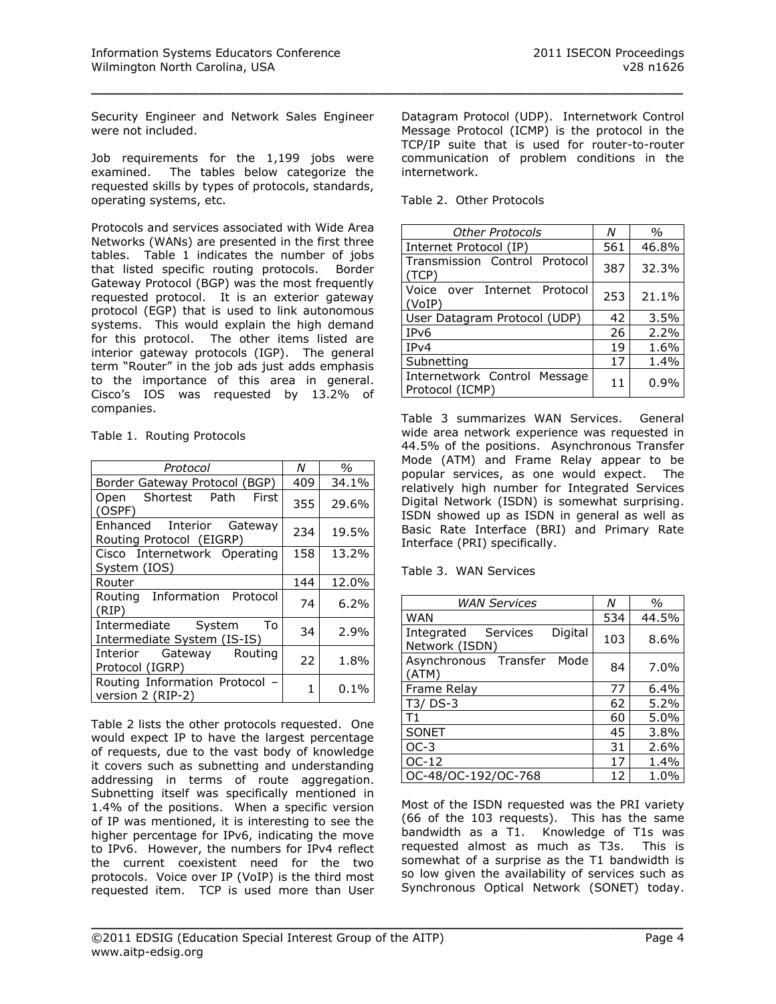Security Engineer and Network Sales Engineer were not included.

Job requirements for the 1,199 jobs were examined. The tables below categorize the requested skills by types of protocols, standards, operating systems, etc.

Protocols and services associated with Wide Area Networks (WANs) are presented in the first three tables. Table 1 indicates the number of jobs that listed specific routing protocols. Border Gateway Protocol (BGP) was the most frequently requested protocol. It is an exterior gateway protocol (EGP) that is used to link autonomous systems. This would explain the high demand for this protocol. The other items listed are interior gateway protocols (IGP). The general term "Router" in the job ads just adds emphasis to the importance of this area in general. Cisco's IOS was requested by 13.2% of companies.

Table 1. Routing Protocols

| Protocol                                                 | Ν   | $\%$  |
|----------------------------------------------------------|-----|-------|
| Border Gateway Protocol (BGP)                            | 409 | 34.1% |
| Shortest Path First<br>Open<br>(OSPF)                    | 355 | 29.6% |
| Enhanced Interior Gateway<br>Routing Protocol (EIGRP)    | 234 | 19.5% |
| Cisco Internetwork Operating<br>System (IOS)             | 158 | 13.2% |
| Router                                                   | 144 | 12.0% |
| Routing Information Protocol<br>(RIP)                    | 74  | 6.2%  |
| Intermediate System<br>To<br>Intermediate System (IS-IS) | 34  | 2.9%  |
| Interior Gateway Routing<br>Protocol (IGRP)              | 22  | 1.8%  |
| Routing Information Protocol -<br>version 2 (RIP-2)      | 1   | 0.1%  |

Table 2 lists the other protocols requested. One would expect IP to have the largest percentage of requests, due to the vast body of knowledge it covers such as subnetting and understanding addressing in terms of route aggregation. Subnetting itself was specifically mentioned in 1.4% of the positions. When a specific version of IP was mentioned, it is interesting to see the higher percentage for IPv6, indicating the move to IPv6. However, the numbers for IPv4 reflect the current coexistent need for the two protocols. Voice over IP (VoIP) is the third most requested item. TCP is used more than User

Datagram Protocol (UDP). Internetwork Control Message Protocol (ICMP) is the protocol in the TCP/IP suite that is used for router-to-router communication of problem conditions in the internetwork.

Table 2. Other Protocols

\_\_\_\_\_\_\_\_\_\_\_\_\_\_\_\_\_\_\_\_\_\_\_\_\_\_\_\_\_\_\_\_\_\_\_\_\_\_\_\_\_\_\_\_\_\_\_\_\_

| <b>Other Protocols</b>                          | N   | $\frac{0}{0}$ |
|-------------------------------------------------|-----|---------------|
| Internet Protocol (IP)                          | 561 | 46.8%         |
| Transmission Control Protocol<br>(TCP)          | 387 | 32.3%         |
| Voice<br>over Internet Protocol<br>(VoIP)       | 253 | 21.1%         |
| User Datagram Protocol (UDP)                    | 42  | 3.5%          |
| IP <sub>v</sub> 6                               | 26  | $2.2\%$       |
| IPv4                                            | 19  | 1.6%          |
| Subnetting                                      | 17  | 1.4%          |
| Internetwork Control Message<br>Protocol (ICMP) | 11  | 0.9%          |

Table 3 summarizes WAN Services. General wide area network experience was requested in 44.5% of the positions. Asynchronous Transfer Mode (ATM) and Frame Relay appear to be popular services, as one would expect. The relatively high number for Integrated Services Digital Network (ISDN) is somewhat surprising. ISDN showed up as ISDN in general as well as Basic Rate Interface (BRI) and Primary Rate Interface (PRI) specifically.

Table 3. WAN Services

| <b>WAN Services</b>                                 | Ν   | $\%$  |
|-----------------------------------------------------|-----|-------|
| <b>WAN</b>                                          | 534 | 44.5% |
| Digital<br>Integrated<br>Services<br>Network (ISDN) | 103 | 8.6%  |
| Asynchronous Transfer<br>Mode<br>(ATM)              | 84  | 7.0%  |
| Frame Relay                                         | 77  | 6.4%  |
| T3/DS-3                                             | 62  | 5.2%  |
| T1                                                  | 60  | 5.0%  |
| SONET                                               | 45  | 3.8%  |
| $OC-3$                                              | 31  | 2.6%  |
| OC-12                                               | 17  | 1.4%  |
| OC-48/OC-192/OC-768                                 | 12  | 1.0%  |

Most of the ISDN requested was the PRI variety (66 of the 103 requests). This has the same bandwidth as a T1. Knowledge of T1s was requested almost as much as T3s. This is somewhat of a surprise as the T1 bandwidth is so low given the availability of services such as Synchronous Optical Network (SONET) today.

\_\_\_\_\_\_\_\_\_\_\_\_\_\_\_\_\_\_\_\_\_\_\_\_\_\_\_\_\_\_\_\_\_\_\_\_\_\_\_\_\_\_\_\_\_\_\_\_\_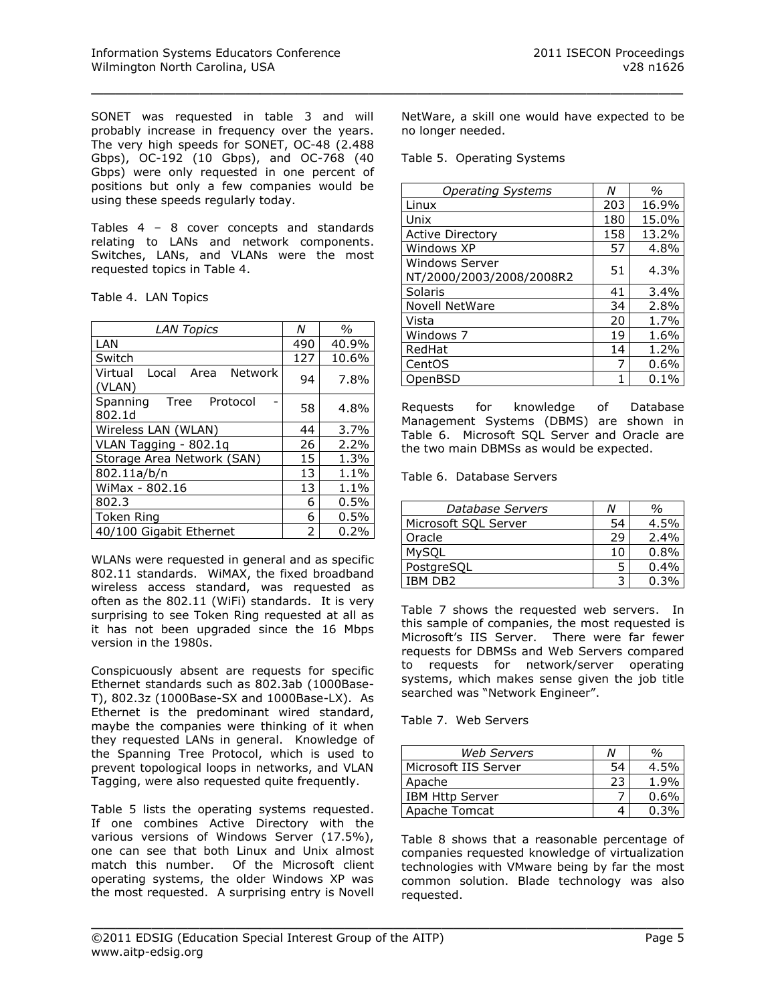SONET was requested in table 3 and will probably increase in frequency over the years. The very high speeds for SONET, OC-48 (2.488 Gbps), OC-192 (10 Gbps), and OC-768 (40 Gbps) were only requested in one percent of positions but only a few companies would be using these speeds regularly today.

Tables 4 – 8 cover concepts and standards relating to LANs and network components. Switches, LANs, and VLANs were the most requested topics in Table 4.

| <b>LAN Topics</b>                             | N   | $\%$  |
|-----------------------------------------------|-----|-------|
| LAN                                           | 490 | 40.9% |
| Switch                                        | 127 | 10.6% |
| Network<br>Virtual<br>Area<br>Local<br>(VLAN) | 94  | 7.8%  |
| Spanning<br>Tree<br>Protocol<br>802.1d        | 58  | 4.8%  |
| Wireless LAN (WLAN)                           | 44  | 3.7%  |
| VLAN Tagging - 802.1q                         | 26  | 2.2%  |
| Storage Area Network (SAN)                    | 15  | 1.3%  |
| 802.11a/b/n                                   | 13  | 1.1%  |
| WiMax - 802.16                                | 13  | 1.1%  |
| 802.3                                         | 6   | 0.5%  |
| Token Ring                                    | 6   | 0.5%  |
| 40/100 Gigabit Ethernet                       | 2   | 0.2%  |

WLANs were requested in general and as specific 802.11 standards. WiMAX, the fixed broadband wireless access standard, was requested as often as the 802.11 (WiFi) standards. It is very surprising to see Token Ring requested at all as it has not been upgraded since the 16 Mbps version in the 1980s.

Conspicuously absent are requests for specific Ethernet standards such as 802.3ab (1000Base-T), 802.3z (1000Base-SX and 1000Base-LX). As Ethernet is the predominant wired standard, maybe the companies were thinking of it when they requested LANs in general. Knowledge of the Spanning Tree Protocol, which is used to prevent topological loops in networks, and VLAN Tagging, were also requested quite frequently.

Table 5 lists the operating systems requested. If one combines Active Directory with the various versions of Windows Server (17.5%), one can see that both Linux and Unix almost match this number. Of the Microsoft client operating systems, the older Windows XP was the most requested. A surprising entry is Novell

NetWare, a skill one would have expected to be no longer needed.

|  | Table 5. Operating Systems |  |
|--|----------------------------|--|
|--|----------------------------|--|

\_\_\_\_\_\_\_\_\_\_\_\_\_\_\_\_\_\_\_\_\_\_\_\_\_\_\_\_\_\_\_\_\_\_\_\_\_\_\_\_\_\_\_\_\_\_\_\_\_

| <b>Operating Systems</b>                   | Ν   | $\frac{0}{0}$ |
|--------------------------------------------|-----|---------------|
| Linux                                      | 203 | 16.9%         |
| Unix                                       | 180 | 15.0%         |
| <b>Active Directory</b>                    | 158 | 13.2%         |
| Windows XP                                 | 57  | 4.8%          |
| Windows Server<br>NT/2000/2003/2008/2008R2 | 51  | 4.3%          |
| Solaris                                    | 41  | 3.4%          |
| <b>Novell NetWare</b>                      | 34  | 2.8%          |
| l Vista                                    | 20  | 1.7%          |
| Windows 7                                  | 19  | 1.6%          |
| RedHat                                     | 14  | $1.2\%$       |
| CentOS                                     | 7   | 0.6%          |
| OpenBSD                                    |     | $0.1\%$       |

Requests for knowledge of Database Management Systems (DBMS) are shown in Table 6. Microsoft SQL Server and Oracle are the two main DBMSs as would be expected.

Table 6. Database Servers

| Database Servers     | N  | %       |
|----------------------|----|---------|
| Microsoft SQL Server | 54 | 4.5%    |
| Oracle               | 29 | 2.4%    |
| <b>MySQL</b>         | 10 | 0.8%    |
| PostgreSQL           |    | $0.4\%$ |
| IBM DB2              |    | 0.3%    |

Table 7 shows the requested web servers. In this sample of companies, the most requested is Microsoft's IIS Server. There were far fewer requests for DBMSs and Web Servers compared to requests for network/server operating systems, which makes sense given the job title searched was "Network Engineer".

Table 7. Web Servers

\_\_\_\_\_\_\_\_\_\_\_\_\_\_\_\_\_\_\_\_\_\_\_\_\_\_\_\_\_\_\_\_\_\_\_\_\_\_\_\_\_\_\_\_\_\_\_\_\_

| <b>Web Servers</b>     | N  | %       |
|------------------------|----|---------|
| Microsoft IIS Server   | 54 | $4.5\%$ |
| Apache                 | 23 | 1.9%    |
| <b>IBM Http Server</b> |    | 0.6%    |
| Apache Tomcat          |    |         |

Table 8 shows that a reasonable percentage of companies requested knowledge of virtualization technologies with VMware being by far the most common solution. Blade technology was also requested.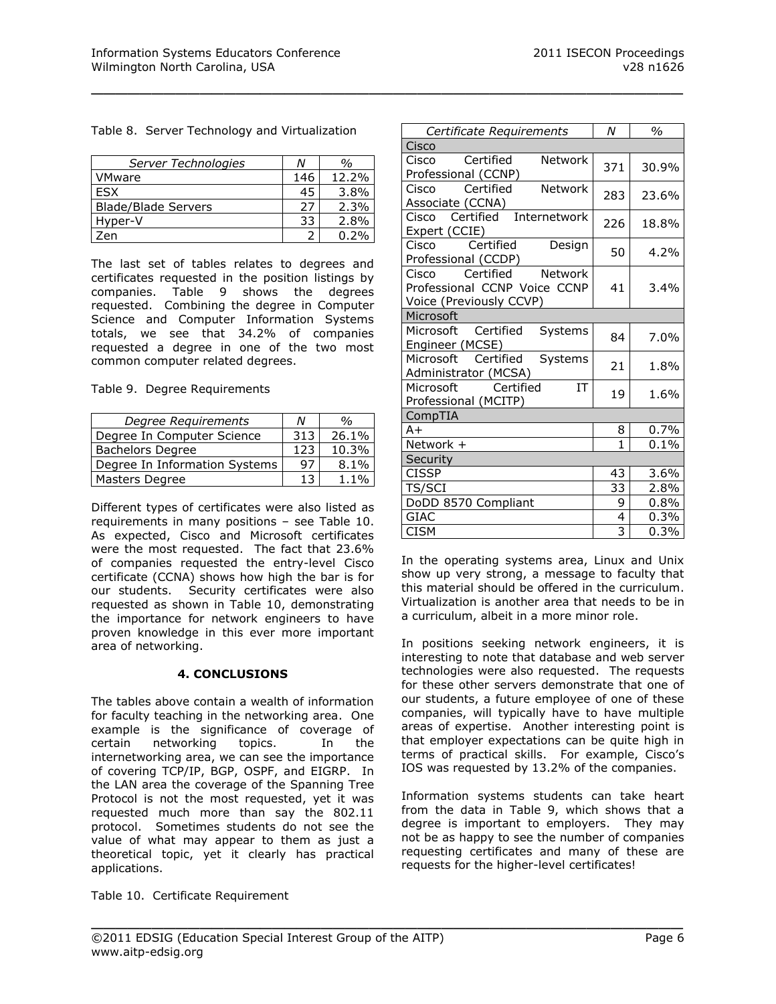|  |  |  |  | Table 8. Server Technology and Virtualization |
|--|--|--|--|-----------------------------------------------|
|--|--|--|--|-----------------------------------------------|

\_\_\_\_\_\_\_\_\_\_\_\_\_\_\_\_\_\_\_\_\_\_\_\_\_\_\_\_\_\_\_\_\_\_\_\_\_\_\_\_\_\_\_\_\_\_\_\_\_

| Server Technologies        | N   | %       |
|----------------------------|-----|---------|
| VMware                     | 146 | 12.2%   |
| <b>FSX</b>                 | 45  | $3.8\%$ |
| <b>Blade/Blade Servers</b> | 27  | 2.3%    |
| Hyper-V                    | 33  | 2.8%    |
| 7en                        |     | 0.2%    |

The last set of tables relates to degrees and certificates requested in the position listings by companies. Table 9 shows the degrees requested. Combining the degree in Computer Science and Computer Information Systems totals, we see that 34.2% of companies requested a degree in one of the two most common computer related degrees.

|  |  | Table 9. Degree Requirements |
|--|--|------------------------------|
|--|--|------------------------------|

| Degree Requirements           | Ν   | %       |
|-------------------------------|-----|---------|
| Degree In Computer Science    | 313 | 26.1%   |
| <b>Bachelors Degree</b>       | 123 | 10.3%   |
| Degree In Information Systems | 97  | 8.1%    |
| Masters Degree                | 13  | $1.1\%$ |

Different types of certificates were also listed as requirements in many positions – see Table 10. As expected, Cisco and Microsoft certificates were the most requested. The fact that 23.6% of companies requested the entry-level Cisco certificate (CCNA) shows how high the bar is for our students. Security certificates were also requested as shown in Table 10, demonstrating the importance for network engineers to have proven knowledge in this ever more important area of networking.

#### **4. CONCLUSIONS**

The tables above contain a wealth of information for faculty teaching in the networking area. One example is the significance of coverage of certain networking topics. In the internetworking area, we can see the importance of covering TCP/IP, BGP, OSPF, and EIGRP. In the LAN area the coverage of the Spanning Tree Protocol is not the most requested, yet it was requested much more than say the 802.11 protocol. Sometimes students do not see the value of what may appear to them as just a theoretical topic, yet it clearly has practical applications.

Table 10. Certificate Requirement

| Certificate Requirements                                                              | N              | $\%$    |  |
|---------------------------------------------------------------------------------------|----------------|---------|--|
| Cisco                                                                                 |                |         |  |
| Certified<br><b>Network</b><br>Cisco<br>Professional (CCNP)                           | 371            | 30.9%   |  |
| Network<br>Certified<br>Cisco<br>Associate (CCNA)                                     | 283            | 23.6%   |  |
| Certified Internetwork<br>Cisco<br>Expert (CCIE)                                      | 226            | 18.8%   |  |
| Certified<br>Cisco<br>Design<br>Professional (CCDP)                                   | 50             | 4.2%    |  |
| Certified Network<br>Cisco<br>Professional CCNP Voice CCNP<br>Voice (Previously CCVP) | 41             | 3.4%    |  |
| Microsoft                                                                             |                |         |  |
| Certified<br>Microsoft<br>Systems<br>Engineer (MCSE)                                  | 84             | 7.0%    |  |
| Microsoft Certified<br>Systems<br>Administrator (MCSA)                                | 21             | 1.8%    |  |
| Microsoft Certified<br>ĪΤ<br>Professional (MCITP)                                     | 19             | 1.6%    |  |
| CompTIA                                                                               |                |         |  |
| $A+$                                                                                  | 8              | 0.7%    |  |
| Network +                                                                             | 1              | 0.1%    |  |
| Security                                                                              |                |         |  |
| <b>CISSP</b>                                                                          | 43             | $3.6\%$ |  |
| <b>TS/SCI</b>                                                                         | 33             | 2.8%    |  |
| DoDD 8570 Compliant                                                                   | 9              | $0.8\%$ |  |
| GIAC                                                                                  | 4              | 0.3%    |  |
| <b>CISM</b>                                                                           | $\overline{3}$ | 0.3%    |  |

In the operating systems area, Linux and Unix show up very strong, a message to faculty that this material should be offered in the curriculum. Virtualization is another area that needs to be in a curriculum, albeit in a more minor role.

In positions seeking network engineers, it is interesting to note that database and web server technologies were also requested. The requests for these other servers demonstrate that one of our students, a future employee of one of these companies, will typically have to have multiple areas of expertise. Another interesting point is that employer expectations can be quite high in terms of practical skills. For example, Cisco's IOS was requested by 13.2% of the companies.

Information systems students can take heart from the data in Table 9, which shows that a degree is important to employers. They may not be as happy to see the number of companies requesting certificates and many of these are requests for the higher-level certificates!

\_\_\_\_\_\_\_\_\_\_\_\_\_\_\_\_\_\_\_\_\_\_\_\_\_\_\_\_\_\_\_\_\_\_\_\_\_\_\_\_\_\_\_\_\_\_\_\_\_